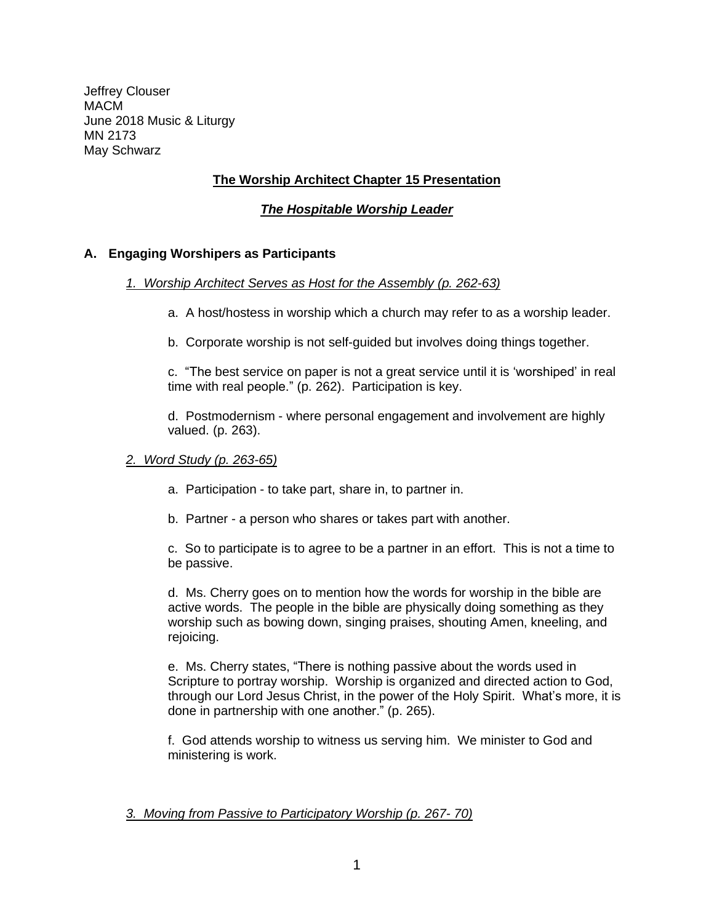Jeffrey Clouser MACM June 2018 Music & Liturgy MN 2173 May Schwarz

# **The Worship Architect Chapter 15 Presentation**

# *The Hospitable Worship Leader*

# **A. Engaging Worshipers as Participants**

## *1. Worship Architect Serves as Host for the Assembly (p. 262-63)*

- a. A host/hostess in worship which a church may refer to as a worship leader.
- b. Corporate worship is not self-guided but involves doing things together.

c. "The best service on paper is not a great service until it is 'worshiped' in real time with real people." (p. 262). Participation is key.

d. Postmodernism - where personal engagement and involvement are highly valued. (p. 263).

### *2. Word Study (p. 263-65)*

- a. Participation to take part, share in, to partner in.
- b. Partner a person who shares or takes part with another.

c. So to participate is to agree to be a partner in an effort. This is not a time to be passive.

d. Ms. Cherry goes on to mention how the words for worship in the bible are active words. The people in the bible are physically doing something as they worship such as bowing down, singing praises, shouting Amen, kneeling, and rejoicing.

e. Ms. Cherry states, "There is nothing passive about the words used in Scripture to portray worship. Worship is organized and directed action to God, through our Lord Jesus Christ, in the power of the Holy Spirit. What's more, it is done in partnership with one another." (p. 265).

f. God attends worship to witness us serving him. We minister to God and ministering is work.

### *3. Moving from Passive to Participatory Worship (p. 267- 70)*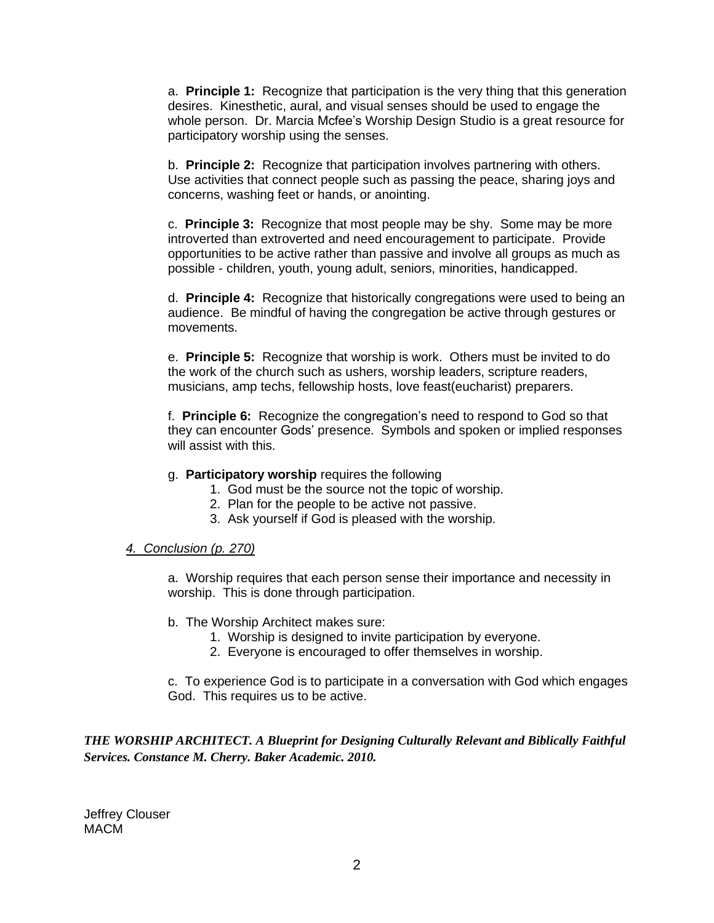a. **Principle 1:** Recognize that participation is the very thing that this generation desires. Kinesthetic, aural, and visual senses should be used to engage the whole person. Dr. Marcia Mcfee's Worship Design Studio is a great resource for participatory worship using the senses.

b. **Principle 2:** Recognize that participation involves partnering with others. Use activities that connect people such as passing the peace, sharing joys and concerns, washing feet or hands, or anointing.

c. **Principle 3:** Recognize that most people may be shy. Some may be more introverted than extroverted and need encouragement to participate. Provide opportunities to be active rather than passive and involve all groups as much as possible - children, youth, young adult, seniors, minorities, handicapped.

d. **Principle 4:** Recognize that historically congregations were used to being an audience. Be mindful of having the congregation be active through gestures or movements.

e. **Principle 5:** Recognize that worship is work. Others must be invited to do the work of the church such as ushers, worship leaders, scripture readers, musicians, amp techs, fellowship hosts, love feast(eucharist) preparers.

f. **Principle 6:** Recognize the congregation's need to respond to God so that they can encounter Gods' presence. Symbols and spoken or implied responses will assist with this.

- g. **Participatory worship** requires the following
	- 1. God must be the source not the topic of worship.
	- 2. Plan for the people to be active not passive.
	- 3. Ask yourself if God is pleased with the worship.

### *4. Conclusion (p. 270)*

a. Worship requires that each person sense their importance and necessity in worship. This is done through participation.

- b. The Worship Architect makes sure:
	- 1. Worship is designed to invite participation by everyone.
	- 2. Everyone is encouraged to offer themselves in worship.

c. To experience God is to participate in a conversation with God which engages God. This requires us to be active.

*THE WORSHIP ARCHITECT. A Blueprint for Designing Culturally Relevant and Biblically Faithful Services. Constance M. Cherry. Baker Academic. 2010.*

Jeffrey Clouser MACM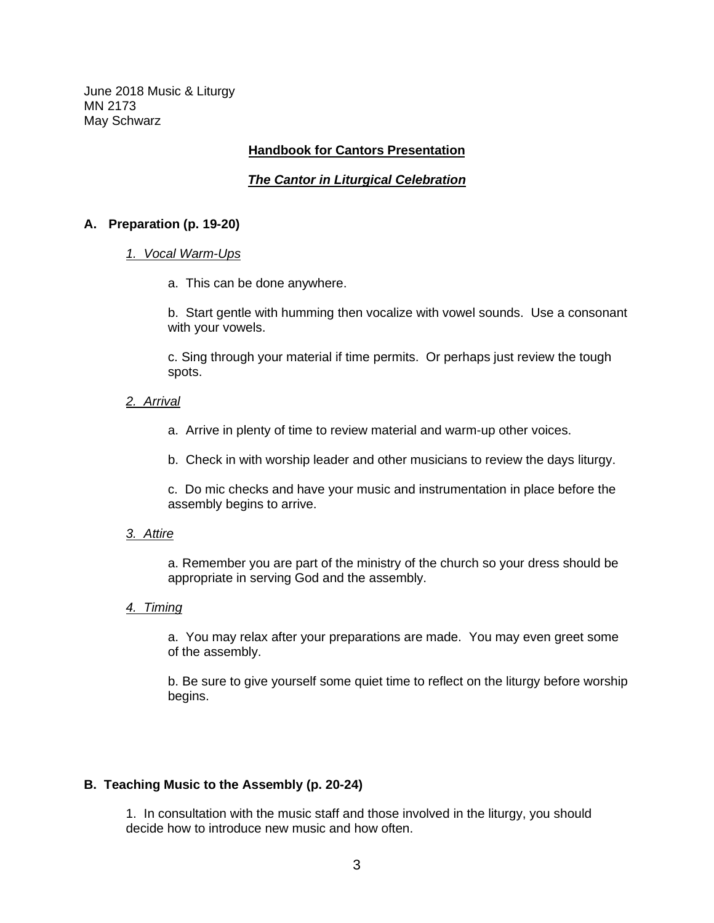June 2018 Music & Liturgy MN 2173 May Schwarz

### **Handbook for Cantors Presentation**

## *The Cantor in Liturgical Celebration*

### **A. Preparation (p. 19-20)**

#### *1. Vocal Warm-Ups*

a. This can be done anywhere.

b. Start gentle with humming then vocalize with vowel sounds. Use a consonant with your vowels.

c. Sing through your material if time permits. Or perhaps just review the tough spots.

### *2. Arrival*

a. Arrive in plenty of time to review material and warm-up other voices.

b. Check in with worship leader and other musicians to review the days liturgy.

c. Do mic checks and have your music and instrumentation in place before the assembly begins to arrive.

### *3. Attire*

a. Remember you are part of the ministry of the church so your dress should be appropriate in serving God and the assembly.

## *4. Timing*

a. You may relax after your preparations are made. You may even greet some of the assembly.

b. Be sure to give yourself some quiet time to reflect on the liturgy before worship begins.

### **B. Teaching Music to the Assembly (p. 20-24)**

1. In consultation with the music staff and those involved in the liturgy, you should decide how to introduce new music and how often.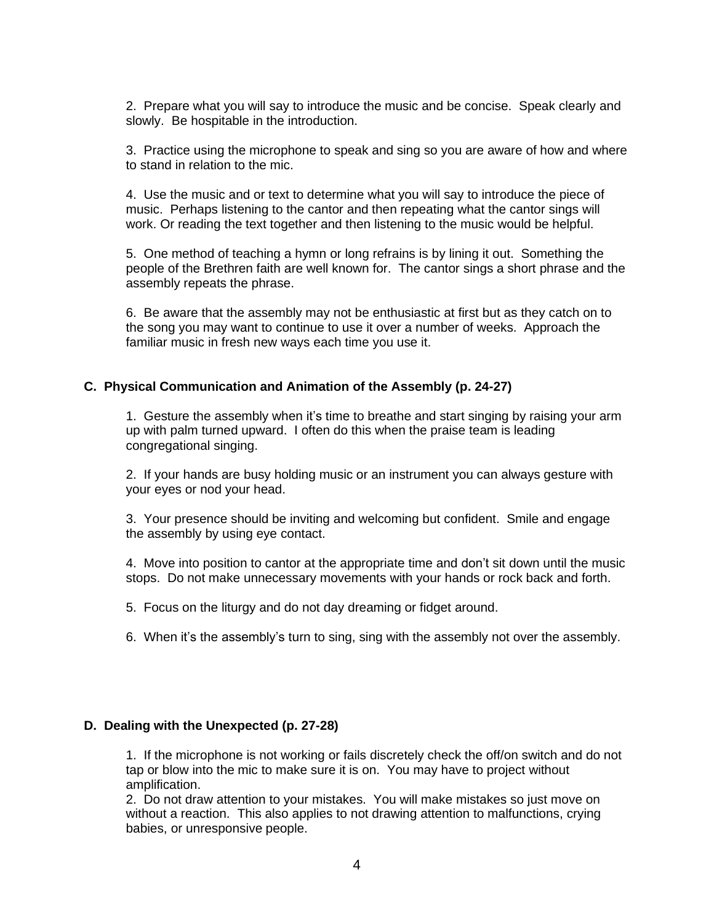2. Prepare what you will say to introduce the music and be concise. Speak clearly and slowly. Be hospitable in the introduction.

3. Practice using the microphone to speak and sing so you are aware of how and where to stand in relation to the mic.

4. Use the music and or text to determine what you will say to introduce the piece of music. Perhaps listening to the cantor and then repeating what the cantor sings will work. Or reading the text together and then listening to the music would be helpful.

5. One method of teaching a hymn or long refrains is by lining it out. Something the people of the Brethren faith are well known for. The cantor sings a short phrase and the assembly repeats the phrase.

6. Be aware that the assembly may not be enthusiastic at first but as they catch on to the song you may want to continue to use it over a number of weeks. Approach the familiar music in fresh new ways each time you use it.

#### **C. Physical Communication and Animation of the Assembly (p. 24-27)**

1. Gesture the assembly when it's time to breathe and start singing by raising your arm up with palm turned upward. I often do this when the praise team is leading congregational singing.

2. If your hands are busy holding music or an instrument you can always gesture with your eyes or nod your head.

3. Your presence should be inviting and welcoming but confident. Smile and engage the assembly by using eye contact.

4. Move into position to cantor at the appropriate time and don't sit down until the music stops. Do not make unnecessary movements with your hands or rock back and forth.

5. Focus on the liturgy and do not day dreaming or fidget around.

6. When it's the assembly's turn to sing, sing with the assembly not over the assembly.

#### **D. Dealing with the Unexpected (p. 27-28)**

1. If the microphone is not working or fails discretely check the off/on switch and do not tap or blow into the mic to make sure it is on. You may have to project without amplification.

2. Do not draw attention to your mistakes. You will make mistakes so just move on without a reaction. This also applies to not drawing attention to malfunctions, crying babies, or unresponsive people.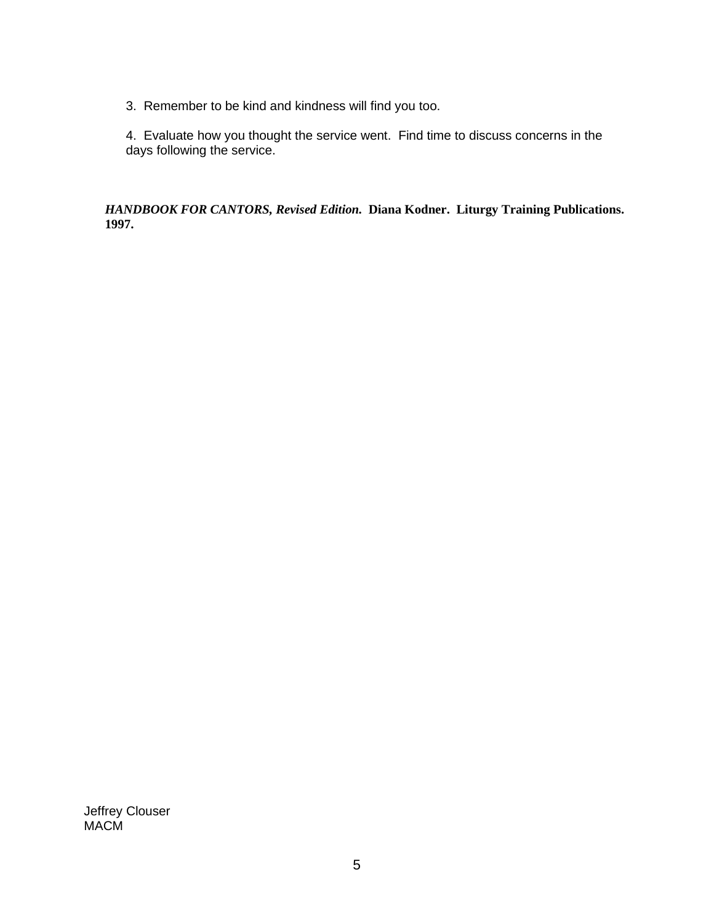3. Remember to be kind and kindness will find you too.

4. Evaluate how you thought the service went. Find time to discuss concerns in the days following the service.

*HANDBOOK FOR CANTORS, Revised Edition.* **Diana Kodner. Liturgy Training Publications. 1997.**

Jeffrey Clouser MACM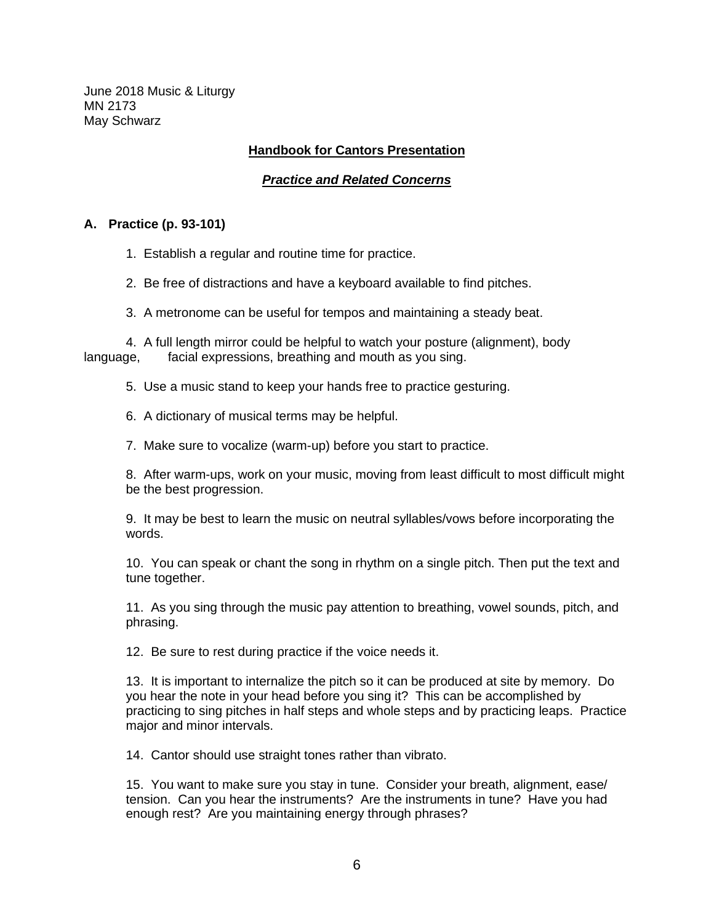June 2018 Music & Liturgy MN 2173 May Schwarz

## **Handbook for Cantors Presentation**

## *Practice and Related Concerns*

### **A. Practice (p. 93-101)**

- 1. Establish a regular and routine time for practice.
- 2. Be free of distractions and have a keyboard available to find pitches.
- 3. A metronome can be useful for tempos and maintaining a steady beat.

4. A full length mirror could be helpful to watch your posture (alignment), body language, facial expressions, breathing and mouth as you sing.

- 5. Use a music stand to keep your hands free to practice gesturing.
- 6. A dictionary of musical terms may be helpful.
- 7. Make sure to vocalize (warm-up) before you start to practice.

8. After warm-ups, work on your music, moving from least difficult to most difficult might be the best progression.

9. It may be best to learn the music on neutral syllables/vows before incorporating the words.

10. You can speak or chant the song in rhythm on a single pitch. Then put the text and tune together.

11. As you sing through the music pay attention to breathing, vowel sounds, pitch, and phrasing.

12. Be sure to rest during practice if the voice needs it.

13. It is important to internalize the pitch so it can be produced at site by memory. Do you hear the note in your head before you sing it? This can be accomplished by practicing to sing pitches in half steps and whole steps and by practicing leaps. Practice major and minor intervals.

14. Cantor should use straight tones rather than vibrato.

15. You want to make sure you stay in tune. Consider your breath, alignment, ease/ tension. Can you hear the instruments? Are the instruments in tune? Have you had enough rest? Are you maintaining energy through phrases?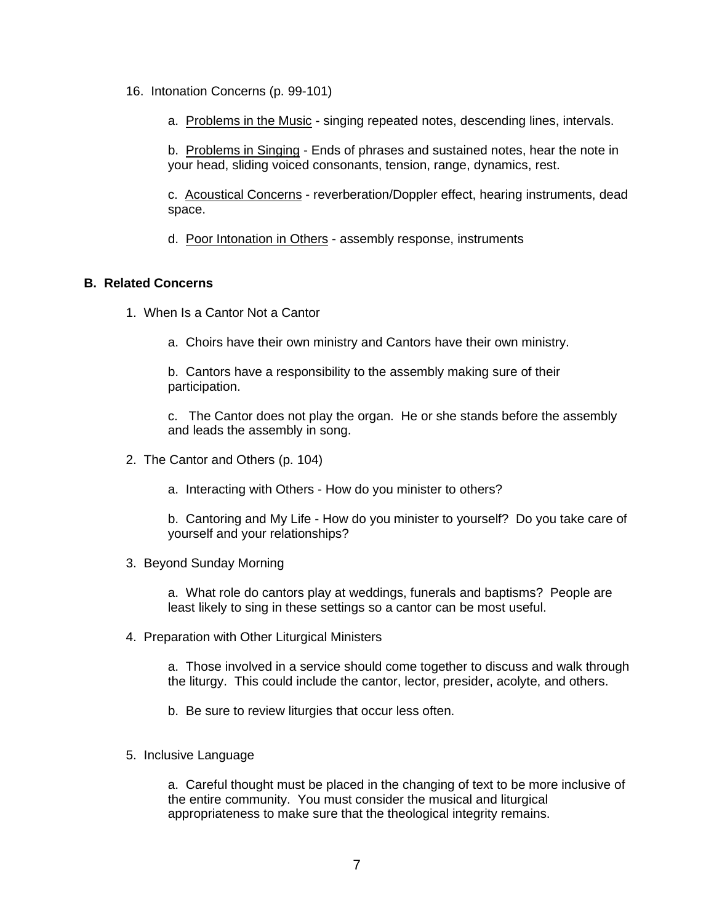- 16. Intonation Concerns (p. 99-101)
	- a. Problems in the Music singing repeated notes, descending lines, intervals.

b. Problems in Singing - Ends of phrases and sustained notes, hear the note in your head, sliding voiced consonants, tension, range, dynamics, rest.

c. Acoustical Concerns - reverberation/Doppler effect, hearing instruments, dead space.

d. Poor Intonation in Others - assembly response, instruments

## **B. Related Concerns**

- 1. When Is a Cantor Not a Cantor
	- a. Choirs have their own ministry and Cantors have their own ministry.

b. Cantors have a responsibility to the assembly making sure of their participation.

c. The Cantor does not play the organ. He or she stands before the assembly and leads the assembly in song.

- 2. The Cantor and Others (p. 104)
	- a. Interacting with Others How do you minister to others?

b. Cantoring and My Life - How do you minister to yourself? Do you take care of yourself and your relationships?

3. Beyond Sunday Morning

a. What role do cantors play at weddings, funerals and baptisms? People are least likely to sing in these settings so a cantor can be most useful.

4. Preparation with Other Liturgical Ministers

a. Those involved in a service should come together to discuss and walk through the liturgy. This could include the cantor, lector, presider, acolyte, and others.

- b. Be sure to review liturgies that occur less often.
- 5. Inclusive Language

a. Careful thought must be placed in the changing of text to be more inclusive of the entire community. You must consider the musical and liturgical appropriateness to make sure that the theological integrity remains.